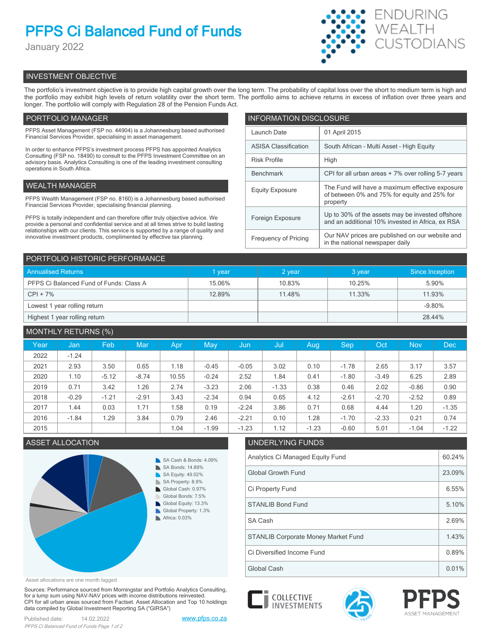# **PFPS Ci Balanced Fund of Funds**

January 2022



# INVESTMENT OBJECTIVE

The portfolio's investment objective is to provide high capital growth over the long term. The probability of capital loss over the short to medium term is high and the portfolio may exhibit high levels of return volatility over the short term. The portfolio aims to achieve returns in excess of inflation over three years and longer. The portfolio will comply with Regulation 28 of the Pension Funds Act.

# PORTFOLIO MANAGER

PFPS Asset Management (FSP no. 44904) is a Johannesburg based authorised Financial Services Provider, specialising in asset management.

In order to enhance PFPS's investment process PFPS has appointed Analytics Consulting (FSP no. 18490) to consult to the PFPS Investment Committee on an advisory basis. Analytics Consulting is one of the leading investment consulting operations in South Africa.

## WEALTH MANAGER

PFPS Wealth Management (FSP no. 8160) is a Johannesburg based authorised Financial Services Provider, specialising financial planning.

PFPS is totally independent and can therefore offer truly objective advice. We provide a personal and confidential service and at all times strive to build lasting relationships with our clients. This service is supported by a range of quality and innovative investment products, complimented by effective tax planning.

| <b>INFORMATION DISCLOSURE</b> |                                                                                                             |  |  |  |  |
|-------------------------------|-------------------------------------------------------------------------------------------------------------|--|--|--|--|
| Launch Date                   | 01 April 2015                                                                                               |  |  |  |  |
| <b>ASISA Classification</b>   | South African - Multi Asset - High Equity                                                                   |  |  |  |  |
| <b>Risk Profile</b>           | High                                                                                                        |  |  |  |  |
| <b>Benchmark</b>              | CPI for all urban areas + 7% over rolling 5-7 years                                                         |  |  |  |  |
| <b>Equity Exposure</b>        | The Fund will have a maximum effective exposure<br>of between 0% and 75% for equity and 25% for<br>property |  |  |  |  |
| Foreign Exposure              | Up to 30% of the assets may be invested offshore<br>and an additional 10% invested in Africa, ex RSA        |  |  |  |  |
| <b>Frequency of Pricing</b>   | Our NAV prices are published on our website and<br>in the national newspaper daily                          |  |  |  |  |

| PORTFOLIO HISTORIC PERFORMANCE          |        |        |        |                 |  |  |  |
|-----------------------------------------|--------|--------|--------|-----------------|--|--|--|
| <b>Annualised Returns</b>               | vear   | 2 year | 3 year | Since Inception |  |  |  |
| PFPS Ci Balanced Fund of Funds: Class A | 15.06% | 10.83% | 10.25% | 5.90%           |  |  |  |
| $CPI + 7%$                              | 12.89% | 11.48% | 11.33% | 11.93%          |  |  |  |
| Lowest 1 year rolling return            |        |        |        | $-9.80%$        |  |  |  |
| Highest 1 year rolling return           |        |        |        | 28.44%          |  |  |  |

# MONTHLY RETURNS (%)

| Year | Jan     | Feb     | Mar     | Apr   | May     | Jun     | Jul     | Aug.    | <b>Sep</b> | Oct     | <b>Nov</b> | <b>Dec</b> |
|------|---------|---------|---------|-------|---------|---------|---------|---------|------------|---------|------------|------------|
| 2022 | $-1.24$ |         |         |       |         |         |         |         |            |         |            |            |
| 2021 | 2.93    | 3.50    | 0.65    | 1.18  | $-0.45$ | $-0.05$ | 3.02    | 0.10    | $-1.78$    | 2.65    | 3.17       | 3.57       |
| 2020 | 1.10    | $-5.12$ | $-8.74$ | 10.55 | $-0.24$ | 2.52    | 1.84    | 0.41    | $-1.80$    | $-3.49$ | 6.25       | 2.89       |
| 2019 | 0.71    | 3.42    | 1.26    | 2.74  | $-3.23$ | 2.06    | $-1.33$ | 0.38    | 0.46       | 2.02    | $-0.86$    | 0.90       |
| 2018 | $-0.29$ | $-1.21$ | $-2.91$ | 3.43  | $-2.34$ | 0.94    | 0.65    | 4.12    | $-2.61$    | $-2.70$ | $-2.52$    | 0.89       |
| 2017 | 1.44    | 0.03    | 1.71    | 1.58  | 0.19    | $-2.24$ | 3.86    | 0.71    | 0.68       | 4.44    | 1.20       | $-1.35$    |
| 2016 | $-1.84$ | 1.29    | 3.84    | 0.79  | 2.46    | $-2.21$ | 0.10    | 1.28    | $-1.70$    | $-2.33$ | 0.21       | 0.74       |
| 2015 |         |         |         | 1.04  | $-1.99$ | $-1.23$ | 1.12    | $-1.23$ | $-0.60$    | 5.01    | $-1.04$    | $-1.22$    |

# ASSET ALLOCATION UNDERLYING FUNDS



Asset allocations are one month lagged

Sources: Performance sourced from Morningstar and Portfolio Analytics Consulting, for a lump sum using NAV-NAV prices with income distributions reinvested. CPI for all urban areas sourced from Factset. Asset Allocation and Top 10 holdings data compiled by Global Investment Reporting SA ("GIRSA")





Analytics Ci Managed Equity Fund **60.24%** 60.24% Global Growth Fund 23.09% Ci Property Fund 6.55%

SA Cash 2.69%

Global Cash 0.01% Ci Diversified Income Fund 0.89% STANLIB Corporate Money Market Fund 1.43%

STANLIB Bond Fund 5.10%